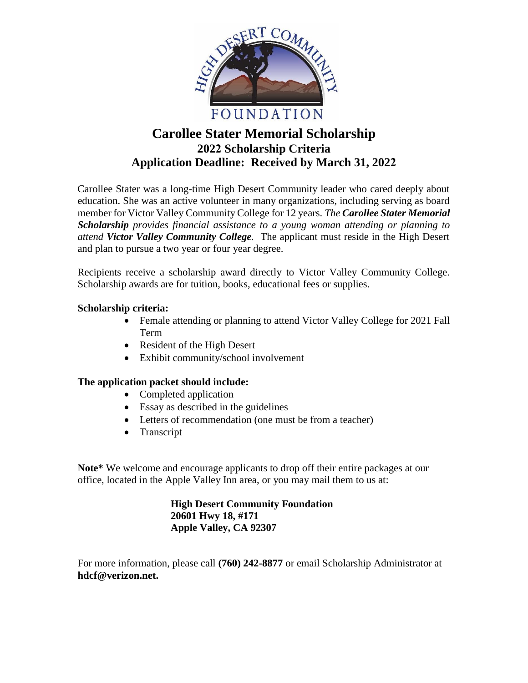

## **Carollee Stater Memorial Scholarship 2022 Scholarship Criteria Application Deadline: Received by March 31, 2022**

Carollee Stater was a long-time High Desert Community leader who cared deeply about education. She was an active volunteer in many organizations, including serving as board member for Victor Valley Community College for 12 years. *The Carollee Stater Memorial Scholarship provides financial assistance to a young woman attending or planning to attend Victor Valley Community College.* The applicant must reside in the High Desert and plan to pursue a two year or four year degree.

Recipients receive a scholarship award directly to Victor Valley Community College. Scholarship awards are for tuition, books, educational fees or supplies.

## **Scholarship criteria:**

- Female attending or planning to attend Victor Valley College for 2021 Fall Term
- Resident of the High Desert
- Exhibit community/school involvement

## **The application packet should include:**

- Completed application
- Essay as described in the guidelines
- Letters of recommendation (one must be from a teacher)
- Transcript

**Note\*** We welcome and encourage applicants to drop off their entire packages at our office, located in the Apple Valley Inn area, or you may mail them to us at:

> **High Desert Community Foundation 20601 Hwy 18, #171 Apple Valley, CA 92307**

For more information, please call **(760) 242-8877** or email Scholarship Administrator at **hdcf@verizon.net.**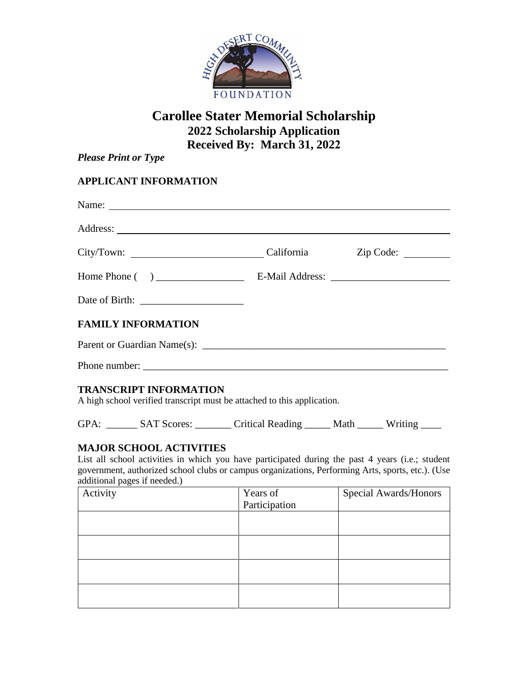

# **Carollee Stater Memorial Scholarship 2022 Scholarship Application Received By: March 31, 2022**

*Please Print or Type*

## **APPLICANT INFORMATION**

| <b>FAMILY INFORMATION</b>                                                                                                                                                                                                                                               |  |
|-------------------------------------------------------------------------------------------------------------------------------------------------------------------------------------------------------------------------------------------------------------------------|--|
|                                                                                                                                                                                                                                                                         |  |
|                                                                                                                                                                                                                                                                         |  |
| <b>TRANSCRIPT INFORMATION</b><br>A high school verified transcript must be attached to this application.                                                                                                                                                                |  |
| GPA: ________ SAT Scores: _________ Critical Reading ______ Math ______ Writing _____                                                                                                                                                                                   |  |
| <b>MAJOR SCHOOL ACTIVITIES</b><br>List all school activities in which you have participated during the past 4 years (i.e.; student<br>government, authorized school clubs or campus organizations, Performing Arts, sports, etc.). (Use<br>additional pages if needed.) |  |

| $\sim$<br>Activity | Years of<br>Participation | Special Awards/Honors |
|--------------------|---------------------------|-----------------------|
|                    |                           |                       |
|                    |                           |                       |
|                    |                           |                       |
|                    |                           |                       |